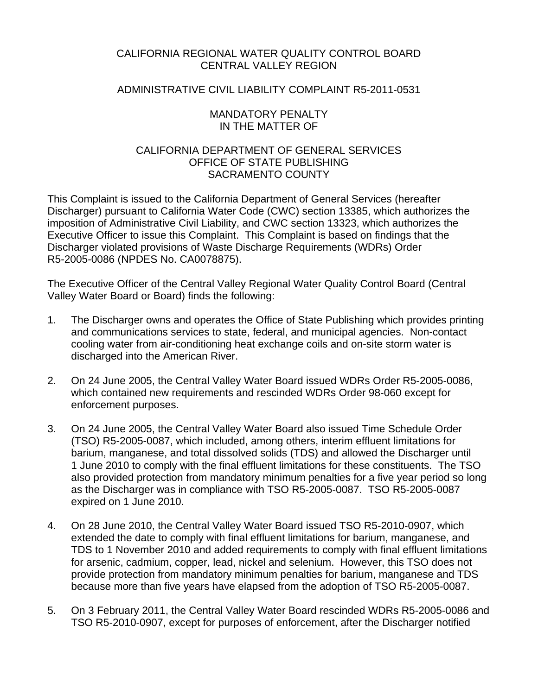# CALIFORNIA REGIONAL WATER QUALITY CONTROL BOARD CENTRAL VALLEY REGION

## ADMINISTRATIVE CIVIL LIABILITY COMPLAINT R5-2011-0531

### MANDATORY PENALTY IN THE MATTER OF

# CALIFORNIA DEPARTMENT OF GENERAL SERVICES OFFICE OF STATE PUBLISHING SACRAMENTO COUNTY

This Complaint is issued to the California Department of General Services (hereafter Discharger) pursuant to California Water Code (CWC) section 13385, which authorizes the imposition of Administrative Civil Liability, and CWC section 13323, which authorizes the Executive Officer to issue this Complaint. This Complaint is based on findings that the Discharger violated provisions of Waste Discharge Requirements (WDRs) Order R5-2005-0086 (NPDES No. CA0078875).

The Executive Officer of the Central Valley Regional Water Quality Control Board (Central Valley Water Board or Board) finds the following:

- 1. The Discharger owns and operates the Office of State Publishing which provides printing and communications services to state, federal, and municipal agencies. Non-contact cooling water from air-conditioning heat exchange coils and on-site storm water is discharged into the American River.
- 2. On 24 June 2005, the Central Valley Water Board issued WDRs Order R5-2005-0086, which contained new requirements and rescinded WDRs Order 98-060 except for enforcement purposes.
- 3. On 24 June 2005, the Central Valley Water Board also issued Time Schedule Order (TSO) R5-2005-0087, which included, among others, interim effluent limitations for barium, manganese, and total dissolved solids (TDS) and allowed the Discharger until 1 June 2010 to comply with the final effluent limitations for these constituents. The TSO also provided protection from mandatory minimum penalties for a five year period so long as the Discharger was in compliance with TSO R5-2005-0087. TSO R5-2005-0087 expired on 1 June 2010.
- 4. On 28 June 2010, the Central Valley Water Board issued TSO R5-2010-0907, which extended the date to comply with final effluent limitations for barium, manganese, and TDS to 1 November 2010 and added requirements to comply with final effluent limitations for arsenic, cadmium, copper, lead, nickel and selenium. However, this TSO does not provide protection from mandatory minimum penalties for barium, manganese and TDS because more than five years have elapsed from the adoption of TSO R5-2005-0087.
- 5. On 3 February 2011, the Central Valley Water Board rescinded WDRs R5-2005-0086 and TSO R5-2010-0907, except for purposes of enforcement, after the Discharger notified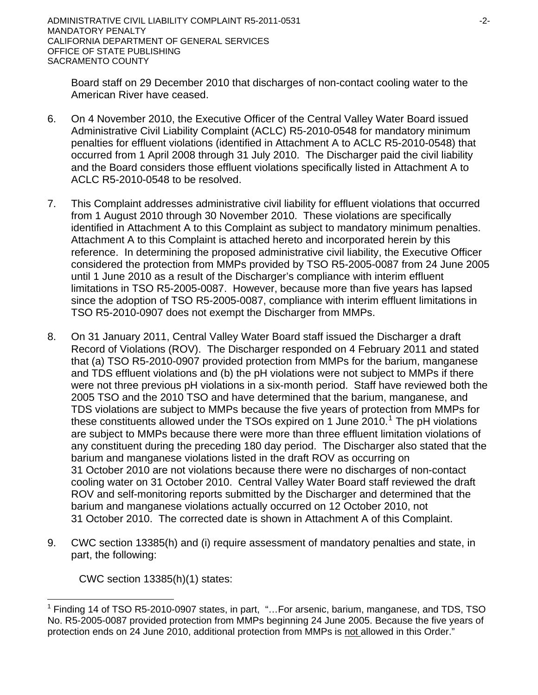Board staff on 29 December 2010 that discharges of non-contact cooling water to the American River have ceased.

- 6. On 4 November 2010, the Executive Officer of the Central Valley Water Board issued Administrative Civil Liability Complaint (ACLC) R5-2010-0548 for mandatory minimum penalties for effluent violations (identified in Attachment A to ACLC R5-2010-0548) that occurred from 1 April 2008 through 31 July 2010. The Discharger paid the civil liability and the Board considers those effluent violations specifically listed in Attachment A to ACLC R5-2010-0548 to be resolved.
- 7. This Complaint addresses administrative civil liability for effluent violations that occurred from 1 August 2010 through 30 November 2010. These violations are specifically identified in Attachment A to this Complaint as subject to mandatory minimum penalties. Attachment A to this Complaint is attached hereto and incorporated herein by this reference. In determining the proposed administrative civil liability, the Executive Officer considered the protection from MMPs provided by TSO R5-2005-0087 from 24 June 2005 until 1 June 2010 as a result of the Discharger's compliance with interim effluent limitations in TSO R5-2005-0087. However, because more than five years has lapsed since the adoption of TSO R5-2005-0087, compliance with interim effluent limitations in TSO R5-2010-0907 does not exempt the Discharger from MMPs.
- 8. On 31 January 2011, Central Valley Water Board staff issued the Discharger a draft Record of Violations (ROV). The Discharger responded on 4 February 2011 and stated that (a) TSO R5-2010-0907 provided protection from MMPs for the barium, manganese and TDS effluent violations and (b) the pH violations were not subject to MMPs if there were not three previous pH violations in a six-month period. Staff have reviewed both the 2005 TSO and the 2010 TSO and have determined that the barium, manganese, and TDS violations are subject to MMPs because the five years of protection from MMPs for these constituents allowed under the TSOs expired on [1](#page-1-0) June 2010.<sup>1</sup> The pH violations are subject to MMPs because there were more than three effluent limitation violations of any constituent during the preceding 180 day period. The Discharger also stated that the barium and manganese violations listed in the draft ROV as occurring on 31 October 2010 are not violations because there were no discharges of non-contact cooling water on 31 October 2010. Central Valley Water Board staff reviewed the draft ROV and self-monitoring reports submitted by the Discharger and determined that the barium and manganese violations actually occurred on 12 October 2010, not 31 October 2010. The corrected date is shown in Attachment A of this Complaint.
- 9. CWC section 13385(h) and (i) require assessment of mandatory penalties and state, in part, the following:

CWC section 13385(h)(1) states:

<span id="page-1-0"></span> $\overline{a}$ <sup>1</sup> Finding 14 of TSO R5-2010-0907 states, in part, "...For arsenic, barium, manganese, and TDS, TSO No. R5-2005-0087 provided protection from MMPs beginning 24 June 2005. Because the five years of protection ends on 24 June 2010, additional protection from MMPs is not allowed in this Order."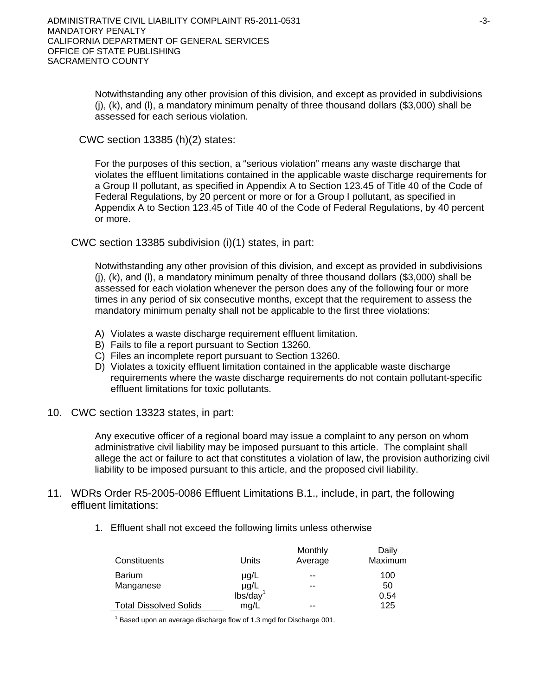Notwithstanding any other provision of this division, and except as provided in subdivisions  $(i)$ ,  $(k)$ , and  $(l)$ , a mandatory minimum penalty of three thousand dollars (\$3,000) shall be assessed for each serious violation.

CWC section 13385 (h)(2) states:

For the purposes of this section, a "serious violation" means any waste discharge that violates the effluent limitations contained in the applicable waste discharge requirements for a Group II pollutant, as specified in Appendix A to Section 123.45 of Title 40 of the Code of Federal Regulations, by 20 percent or more or for a Group I pollutant, as specified in Appendix A to Section 123.45 of Title 40 of the Code of Federal Regulations, by 40 percent or more.

CWC section 13385 subdivision (i)(1) states, in part:

Notwithstanding any other provision of this division, and except as provided in subdivisions (j), (k), and (l), a mandatory minimum penalty of three thousand dollars (\$3,000) shall be assessed for each violation whenever the person does any of the following four or more times in any period of six consecutive months, except that the requirement to assess the mandatory minimum penalty shall not be applicable to the first three violations:

- A) Violates a waste discharge requirement effluent limitation.
- B) Fails to file a report pursuant to Section 13260.
- C) Files an incomplete report pursuant to Section 13260.
- D) Violates a toxicity effluent limitation contained in the applicable waste discharge requirements where the waste discharge requirements do not contain pollutant-specific effluent limitations for toxic pollutants.
- 10. CWC section 13323 states, in part:

Any executive officer of a regional board may issue a complaint to any person on whom administrative civil liability may be imposed pursuant to this article. The complaint shall allege the act or failure to act that constitutes a violation of law, the provision authorizing civil liability to be imposed pursuant to this article, and the proposed civil liability.

- 11. WDRs Order R5-2005-0086 Effluent Limitations B.1., include, in part, the following effluent limitations:
	- 1. Effluent shall not exceed the following limits unless otherwise

| Constituents                  | Units                | Monthly<br>Average | Daily<br>Maximum |
|-------------------------------|----------------------|--------------------|------------------|
| <b>Barium</b>                 | $\mu$ g/L            | --                 | 100              |
| Manganese                     | $\mu$ g/L            | --                 | 50               |
|                               | lbs/day <sup>1</sup> |                    | 0.54             |
| <b>Total Dissolved Solids</b> | mg/L                 | --                 | 125              |

 $1$  Based upon an average discharge flow of 1.3 mgd for Discharge 001.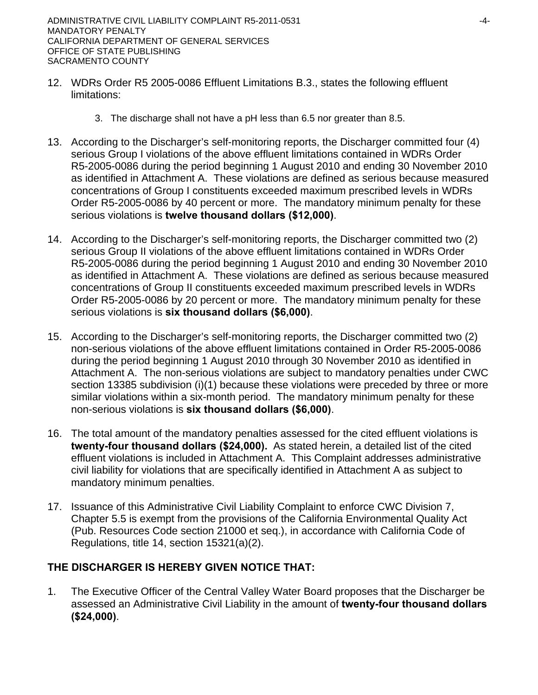- 12. WDRs Order R5 2005-0086 Effluent Limitations B.3., states the following effluent limitations:
	- 3. The discharge shall not have a pH less than 6.5 nor greater than 8.5.
- 13. According to the Discharger's self-monitoring reports, the Discharger committed four (4) serious Group I violations of the above effluent limitations contained in WDRs Order R5-2005-0086 during the period beginning 1 August 2010 and ending 30 November 2010 as identified in Attachment A. These violations are defined as serious because measured concentrations of Group I constituents exceeded maximum prescribed levels in WDRs Order R5-2005-0086 by 40 percent or more. The mandatory minimum penalty for these serious violations is **twelve thousand dollars (\$12,000)**.
- 14. According to the Discharger's self-monitoring reports, the Discharger committed two (2) serious Group II violations of the above effluent limitations contained in WDRs Order R5-2005-0086 during the period beginning 1 August 2010 and ending 30 November 2010 as identified in Attachment A. These violations are defined as serious because measured concentrations of Group II constituents exceeded maximum prescribed levels in WDRs Order R5-2005-0086 by 20 percent or more. The mandatory minimum penalty for these serious violations is **six thousand dollars (\$6,000)**.
- 15. According to the Discharger's self-monitoring reports, the Discharger committed two (2) non-serious violations of the above effluent limitations contained in Order R5-2005-0086 during the period beginning 1 August 2010 through 30 November 2010 as identified in Attachment A. The non-serious violations are subject to mandatory penalties under CWC section 13385 subdivision (i)(1) because these violations were preceded by three or more similar violations within a six-month period. The mandatory minimum penalty for these non-serious violations is **six thousand dollars (\$6,000)**.
- 16. The total amount of the mandatory penalties assessed for the cited effluent violations is **twenty-four thousand dollars (\$24,000).** As stated herein, a detailed list of the cited effluent violations is included in Attachment A. This Complaint addresses administrative civil liability for violations that are specifically identified in Attachment A as subject to mandatory minimum penalties.
- 17. Issuance of this Administrative Civil Liability Complaint to enforce CWC Division 7, Chapter 5.5 is exempt from the provisions of the California Environmental Quality Act (Pub. Resources Code section 21000 et seq.), in accordance with California Code of Regulations, title 14, section 15321(a)(2).

# **THE DISCHARGER IS HEREBY GIVEN NOTICE THAT:**

1. The Executive Officer of the Central Valley Water Board proposes that the Discharger be assessed an Administrative Civil Liability in the amount of **twenty-four thousand dollars (\$24,000)**.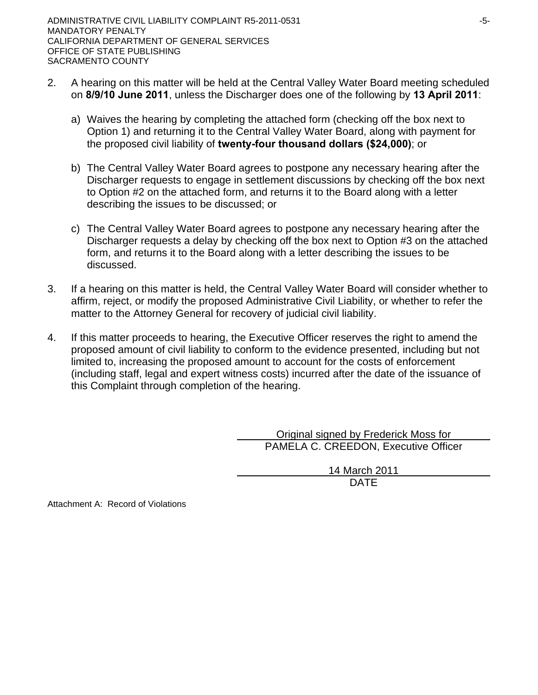- 2. A hearing on this matter will be held at the Central Valley Water Board meeting scheduled on **8/9/10 June 2011**, unless the Discharger does one of the following by **13 April 2011**:
	- a) Waives the hearing by completing the attached form (checking off the box next to Option 1) and returning it to the Central Valley Water Board, along with payment for the proposed civil liability of **twenty-four thousand dollars (\$24,000)**; or
	- b) The Central Valley Water Board agrees to postpone any necessary hearing after the Discharger requests to engage in settlement discussions by checking off the box next to Option #2 on the attached form, and returns it to the Board along with a letter describing the issues to be discussed; or
	- c) The Central Valley Water Board agrees to postpone any necessary hearing after the Discharger requests a delay by checking off the box next to Option #3 on the attached form, and returns it to the Board along with a letter describing the issues to be discussed.
- 3. If a hearing on this matter is held, the Central Valley Water Board will consider whether to affirm, reject, or modify the proposed Administrative Civil Liability, or whether to refer the matter to the Attorney General for recovery of judicial civil liability.
- 4. If this matter proceeds to hearing, the Executive Officer reserves the right to amend the proposed amount of civil liability to conform to the evidence presented, including but not limited to, increasing the proposed amount to account for the costs of enforcement (including staff, legal and expert witness costs) incurred after the date of the issuance of this Complaint through completion of the hearing.

 Original signed by Frederick Moss for PAMELA C. CREEDON, Executive Officer

> 14 March 2011 DATE

Attachment A: Record of Violations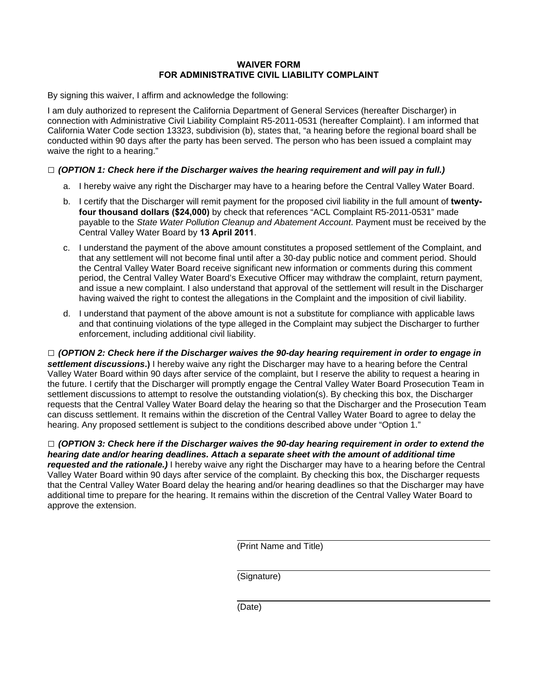### **WAIVER FORM FOR ADMINISTRATIVE CIVIL LIABILITY COMPLAINT**

By signing this waiver, I affirm and acknowledge the following:

I am duly authorized to represent the California Department of General Services (hereafter Discharger) in connection with Administrative Civil Liability Complaint R5-2011-0531 (hereafter Complaint). I am informed that California Water Code section 13323, subdivision (b), states that, "a hearing before the regional board shall be conducted within 90 days after the party has been served. The person who has been issued a complaint may waive the right to a hearing."

### **□** *(OPTION 1: Check here if the Discharger waives the hearing requirement and will pay in full.)*

- a. I hereby waive any right the Discharger may have to a hearing before the Central Valley Water Board.
- b. I certify that the Discharger will remit payment for the proposed civil liability in the full amount of **twentyfour thousand dollars (\$24,000)** by check that references "ACL Complaint R5-2011-0531" made payable to the *State Water Pollution Cleanup and Abatement Account*. Payment must be received by the Central Valley Water Board by **13 April 2011**.
- c. I understand the payment of the above amount constitutes a proposed settlement of the Complaint, and that any settlement will not become final until after a 30-day public notice and comment period. Should the Central Valley Water Board receive significant new information or comments during this comment period, the Central Valley Water Board's Executive Officer may withdraw the complaint, return payment, and issue a new complaint. I also understand that approval of the settlement will result in the Discharger having waived the right to contest the allegations in the Complaint and the imposition of civil liability.
- d. I understand that payment of the above amount is not a substitute for compliance with applicable laws and that continuing violations of the type alleged in the Complaint may subject the Discharger to further enforcement, including additional civil liability.

**□** *(OPTION 2: Check here if the Discharger waives the 90-day hearing requirement in order to engage in settlement discussions***.)** I hereby waive any right the Discharger may have to a hearing before the Central Valley Water Board within 90 days after service of the complaint, but I reserve the ability to request a hearing in the future. I certify that the Discharger will promptly engage the Central Valley Water Board Prosecution Team in settlement discussions to attempt to resolve the outstanding violation(s). By checking this box, the Discharger requests that the Central Valley Water Board delay the hearing so that the Discharger and the Prosecution Team can discuss settlement. It remains within the discretion of the Central Valley Water Board to agree to delay the hearing. Any proposed settlement is subject to the conditions described above under "Option 1."

**□** *(OPTION 3: Check here if the Discharger waives the 90-day hearing requirement in order to extend the hearing date and/or hearing deadlines. Attach a separate sheet with the amount of additional time requested and the rationale.)* I hereby waive any right the Discharger may have to a hearing before the Central Valley Water Board within 90 days after service of the complaint. By checking this box, the Discharger requests that the Central Valley Water Board delay the hearing and/or hearing deadlines so that the Discharger may have additional time to prepare for the hearing. It remains within the discretion of the Central Valley Water Board to approve the extension.

(Print Name and Title)

(Signature)

(Date)